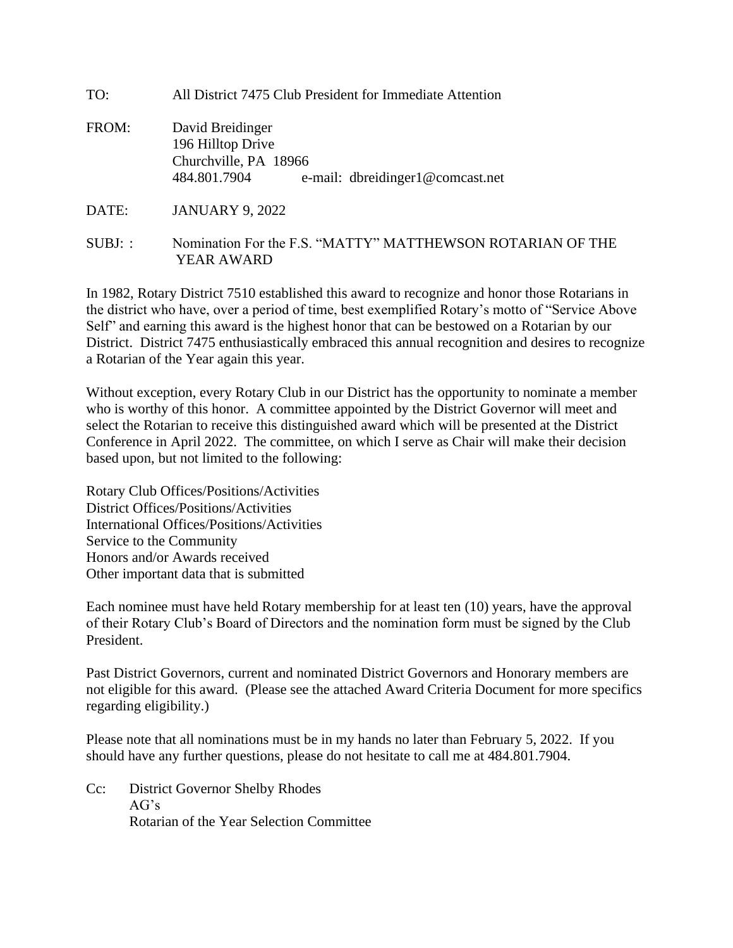| TO:       | All District 7475 Club President for Immediate Attention                                                           |  |
|-----------|--------------------------------------------------------------------------------------------------------------------|--|
| FROM:     | David Breidinger<br>196 Hilltop Drive<br>Churchville, PA 18966<br>484.801.7904<br>e-mail: dbreidinger1@comcast.net |  |
| DATE:     | <b>JANUARY 9, 2022</b>                                                                                             |  |
| $SUBJ:$ : | Nomination For the F.S. "MATTY" MATTHEWSON ROTARIAN OF THE<br>YEAR AWARD                                           |  |

In 1982, Rotary District 7510 established this award to recognize and honor those Rotarians in the district who have, over a period of time, best exemplified Rotary's motto of "Service Above Self" and earning this award is the highest honor that can be bestowed on a Rotarian by our District. District 7475 enthusiastically embraced this annual recognition and desires to recognize a Rotarian of the Year again this year.

Without exception, every Rotary Club in our District has the opportunity to nominate a member who is worthy of this honor. A committee appointed by the District Governor will meet and select the Rotarian to receive this distinguished award which will be presented at the District Conference in April 2022. The committee, on which I serve as Chair will make their decision based upon, but not limited to the following:

Rotary Club Offices/Positions/Activities District Offices/Positions/Activities International Offices/Positions/Activities Service to the Community Honors and/or Awards received Other important data that is submitted

Each nominee must have held Rotary membership for at least ten (10) years, have the approval of their Rotary Club's Board of Directors and the nomination form must be signed by the Club President.

Past District Governors, current and nominated District Governors and Honorary members are not eligible for this award. (Please see the attached Award Criteria Document for more specifics regarding eligibility.)

Please note that all nominations must be in my hands no later than February 5, 2022. If you should have any further questions, please do not hesitate to call me at 484.801.7904.

Cc: District Governor Shelby Rhodes  $AG's$ Rotarian of the Year Selection Committee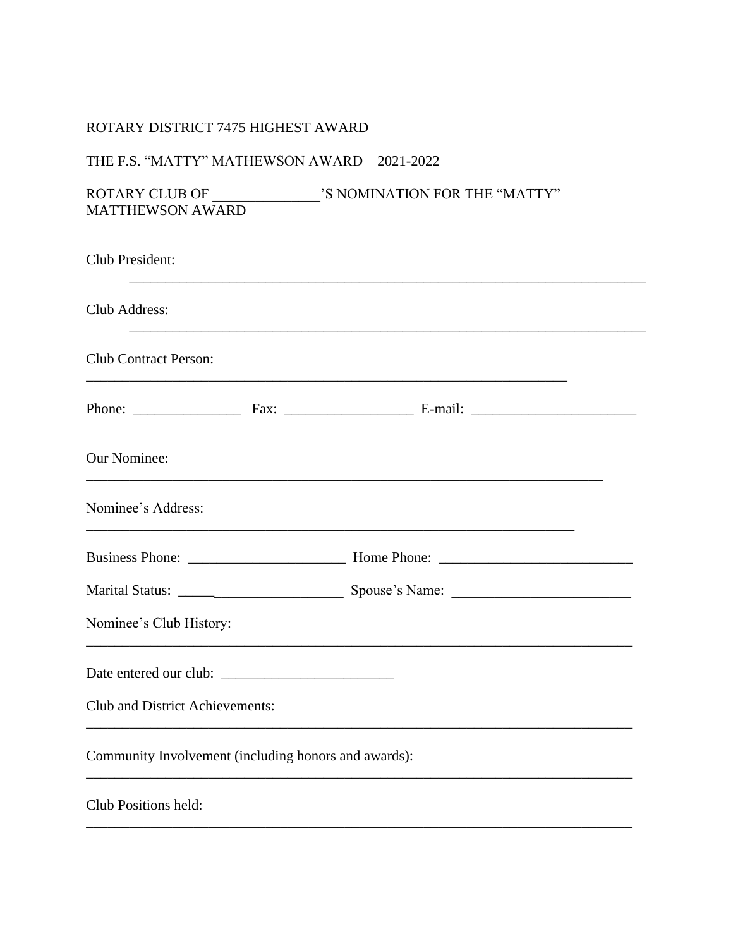## ROTARY DISTRICT 7475 HIGHEST AWARD

## THE F.S. "MATTY" MATHEWSON AWARD - 2021-2022

## ROTARY CLUB OF  $\hspace{1.5cm}$  'S NOMINATION FOR THE "MATTY" MATTHEWSON AWARD

| Club President:                                      |                                                                                                                  |  |
|------------------------------------------------------|------------------------------------------------------------------------------------------------------------------|--|
| Club Address:                                        |                                                                                                                  |  |
| <b>Club Contract Person:</b>                         | and the control of the control of the control of the control of the control of the control of the control of the |  |
|                                                      |                                                                                                                  |  |
| <b>Our Nominee:</b>                                  |                                                                                                                  |  |
| Nominee's Address:                                   |                                                                                                                  |  |
|                                                      |                                                                                                                  |  |
|                                                      |                                                                                                                  |  |
| Nominee's Club History:                              |                                                                                                                  |  |
|                                                      |                                                                                                                  |  |
| <b>Club and District Achievements:</b>               |                                                                                                                  |  |
| Community Involvement (including honors and awards): |                                                                                                                  |  |
| Club Positions held:                                 |                                                                                                                  |  |